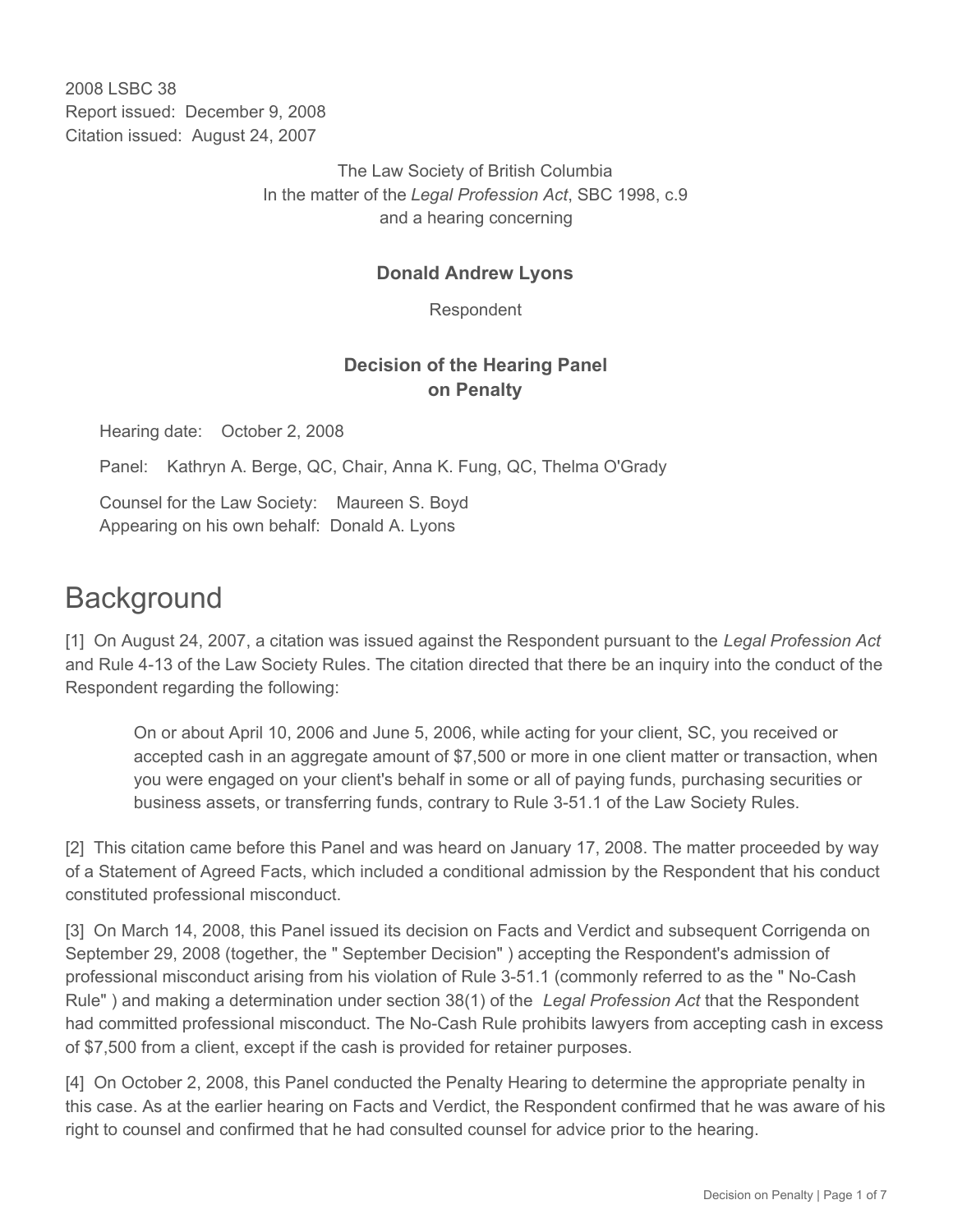2008 LSBC 38 Report issued: December 9, 2008 Citation issued: August 24, 2007

> The Law Society of British Columbia In the matter of the *Legal Profession Act*, SBC 1998, c.9 and a hearing concerning

#### **Donald Andrew Lyons**

Respondent

## **Decision of the Hearing Panel on Penalty**

Hearing date: October 2, 2008

Panel: Kathryn A. Berge, QC, Chair, Anna K. Fung, QC, Thelma O'Grady

Counsel for the Law Society: Maureen S. Boyd Appearing on his own behalf: Donald A. Lyons

# **Background**

[1] On August 24, 2007, a citation was issued against the Respondent pursuant to the *Legal Profession Act*  and Rule 4-13 of the Law Society Rules. The citation directed that there be an inquiry into the conduct of the Respondent regarding the following:

On or about April 10, 2006 and June 5, 2006, while acting for your client, SC, you received or accepted cash in an aggregate amount of \$7,500 or more in one client matter or transaction, when you were engaged on your client's behalf in some or all of paying funds, purchasing securities or business assets, or transferring funds, contrary to Rule 3-51.1 of the Law Society Rules.

[2] This citation came before this Panel and was heard on January 17, 2008. The matter proceeded by way of a Statement of Agreed Facts, which included a conditional admission by the Respondent that his conduct constituted professional misconduct.

[3] On March 14, 2008, this Panel issued its decision on Facts and Verdict and subsequent Corrigenda on September 29, 2008 (together, the " September Decision" ) accepting the Respondent's admission of professional misconduct arising from his violation of Rule 3-51.1 (commonly referred to as the " No-Cash Rule" ) and making a determination under section 38(1) of the *Legal Profession Act* that the Respondent had committed professional misconduct. The No-Cash Rule prohibits lawyers from accepting cash in excess of \$7,500 from a client, except if the cash is provided for retainer purposes.

[4] On October 2, 2008, this Panel conducted the Penalty Hearing to determine the appropriate penalty in this case. As at the earlier hearing on Facts and Verdict, the Respondent confirmed that he was aware of his right to counsel and confirmed that he had consulted counsel for advice prior to the hearing.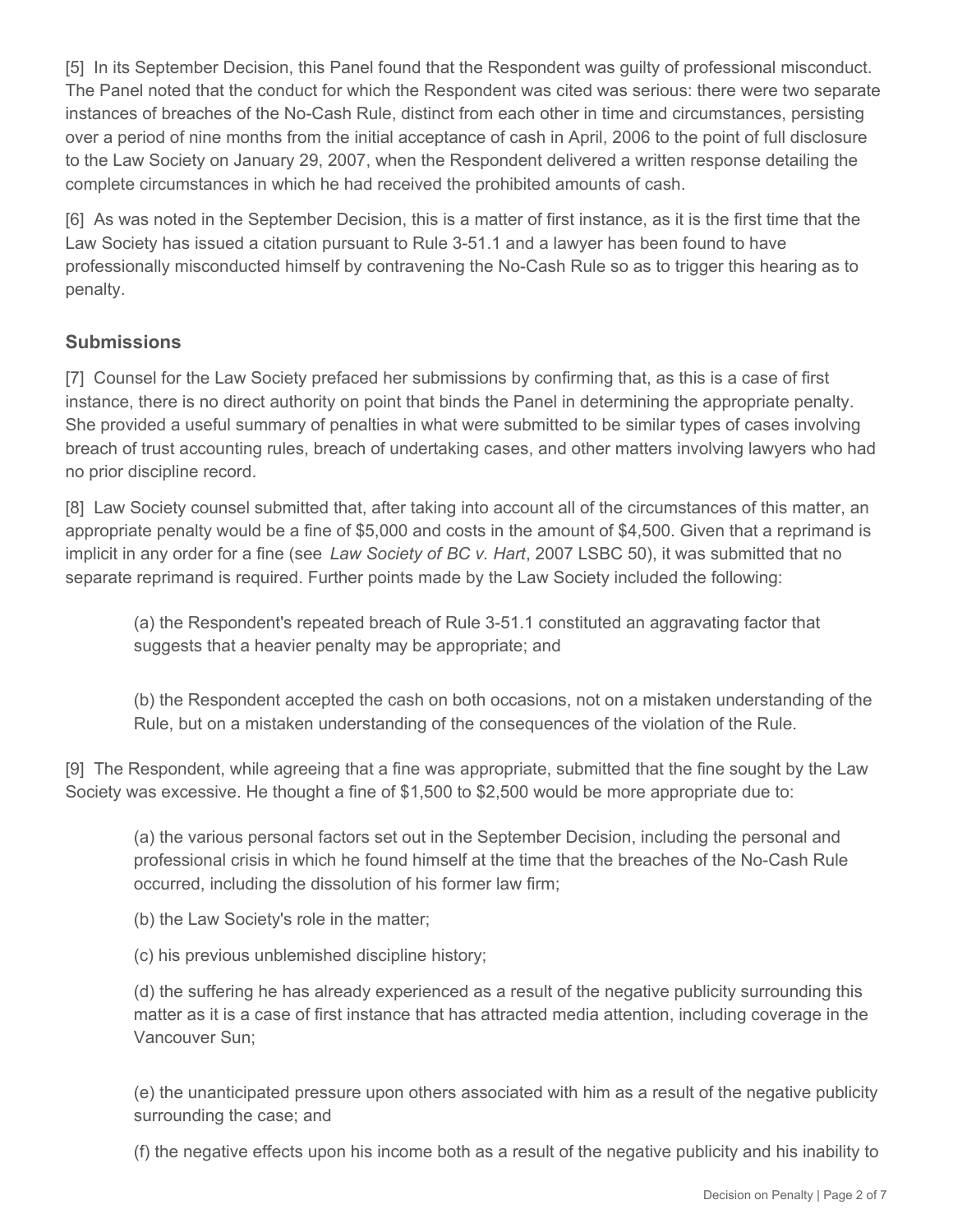[5] In its September Decision, this Panel found that the Respondent was guilty of professional misconduct. The Panel noted that the conduct for which the Respondent was cited was serious: there were two separate instances of breaches of the No-Cash Rule, distinct from each other in time and circumstances, persisting over a period of nine months from the initial acceptance of cash in April, 2006 to the point of full disclosure to the Law Society on January 29, 2007, when the Respondent delivered a written response detailing the complete circumstances in which he had received the prohibited amounts of cash.

[6] As was noted in the September Decision, this is a matter of first instance, as it is the first time that the Law Society has issued a citation pursuant to Rule 3-51.1 and a lawyer has been found to have professionally misconducted himself by contravening the No-Cash Rule so as to trigger this hearing as to penalty.

### **Submissions**

[7] Counsel for the Law Society prefaced her submissions by confirming that, as this is a case of first instance, there is no direct authority on point that binds the Panel in determining the appropriate penalty. She provided a useful summary of penalties in what were submitted to be similar types of cases involving breach of trust accounting rules, breach of undertaking cases, and other matters involving lawyers who had no prior discipline record.

[8] Law Society counsel submitted that, after taking into account all of the circumstances of this matter, an appropriate penalty would be a fine of \$5,000 and costs in the amount of \$4,500. Given that a reprimand is implicit in any order for a fine (see *Law Society of BC v. Hart*, 2007 LSBC 50), it was submitted that no separate reprimand is required. Further points made by the Law Society included the following:

(a) the Respondent's repeated breach of Rule 3-51.1 constituted an aggravating factor that suggests that a heavier penalty may be appropriate; and

(b) the Respondent accepted the cash on both occasions, not on a mistaken understanding of the Rule, but on a mistaken understanding of the consequences of the violation of the Rule.

[9] The Respondent, while agreeing that a fine was appropriate, submitted that the fine sought by the Law Society was excessive. He thought a fine of \$1,500 to \$2,500 would be more appropriate due to:

(a) the various personal factors set out in the September Decision, including the personal and professional crisis in which he found himself at the time that the breaches of the No-Cash Rule occurred, including the dissolution of his former law firm;

(b) the Law Society's role in the matter;

(c) his previous unblemished discipline history;

(d) the suffering he has already experienced as a result of the negative publicity surrounding this matter as it is a case of first instance that has attracted media attention, including coverage in the Vancouver Sun;

(e) the unanticipated pressure upon others associated with him as a result of the negative publicity surrounding the case; and

(f) the negative effects upon his income both as a result of the negative publicity and his inability to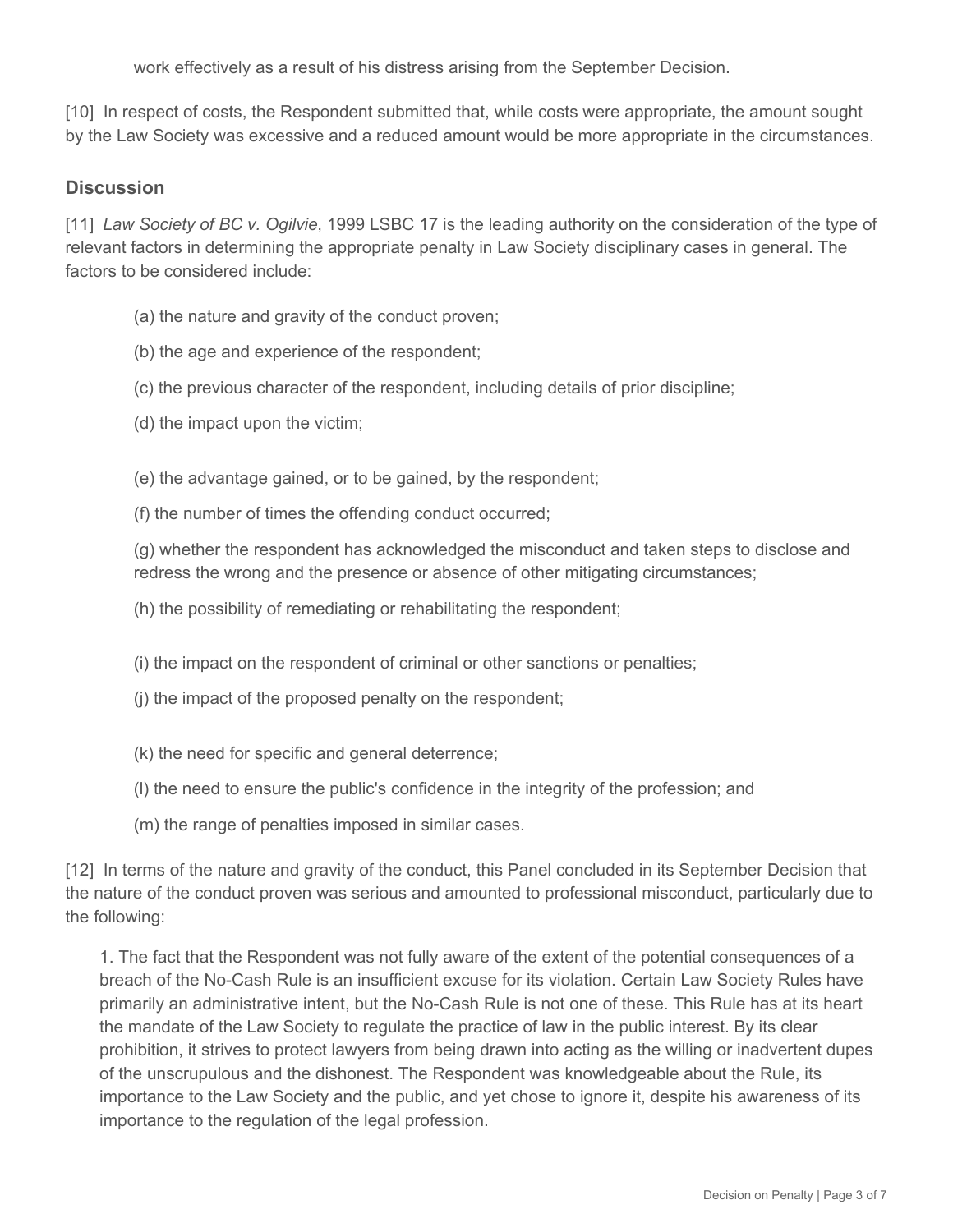work effectively as a result of his distress arising from the September Decision.

[10] In respect of costs, the Respondent submitted that, while costs were appropriate, the amount sought by the Law Society was excessive and a reduced amount would be more appropriate in the circumstances.

#### **Discussion**

[11] *Law Society of BC v. Ogilvie*, 1999 LSBC 17 is the leading authority on the consideration of the type of relevant factors in determining the appropriate penalty in Law Society disciplinary cases in general. The factors to be considered include:

- (a) the nature and gravity of the conduct proven;
- (b) the age and experience of the respondent;
- (c) the previous character of the respondent, including details of prior discipline;
- (d) the impact upon the victim;

(e) the advantage gained, or to be gained, by the respondent;

(f) the number of times the offending conduct occurred;

(g) whether the respondent has acknowledged the misconduct and taken steps to disclose and redress the wrong and the presence or absence of other mitigating circumstances;

(h) the possibility of remediating or rehabilitating the respondent;

- (i) the impact on the respondent of criminal or other sanctions or penalties;
- (j) the impact of the proposed penalty on the respondent;
- (k) the need for specific and general deterrence;
- (l) the need to ensure the public's confidence in the integrity of the profession; and
- (m) the range of penalties imposed in similar cases.

[12] In terms of the nature and gravity of the conduct, this Panel concluded in its September Decision that the nature of the conduct proven was serious and amounted to professional misconduct, particularly due to the following:

1. The fact that the Respondent was not fully aware of the extent of the potential consequences of a breach of the No-Cash Rule is an insufficient excuse for its violation. Certain Law Society Rules have primarily an administrative intent, but the No-Cash Rule is not one of these. This Rule has at its heart the mandate of the Law Society to regulate the practice of law in the public interest. By its clear prohibition, it strives to protect lawyers from being drawn into acting as the willing or inadvertent dupes of the unscrupulous and the dishonest. The Respondent was knowledgeable about the Rule, its importance to the Law Society and the public, and yet chose to ignore it, despite his awareness of its importance to the regulation of the legal profession.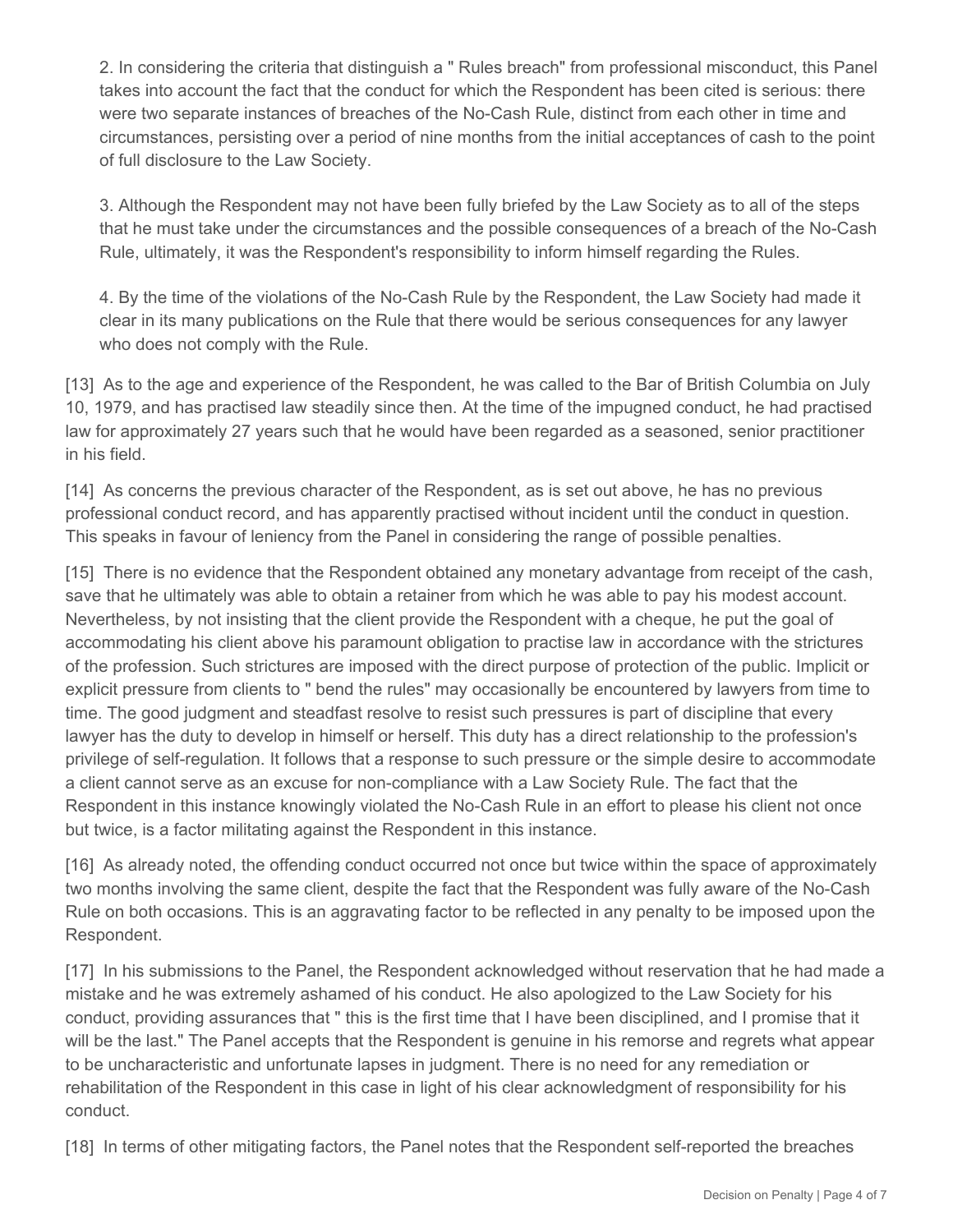2. In considering the criteria that distinguish a " Rules breach" from professional misconduct, this Panel takes into account the fact that the conduct for which the Respondent has been cited is serious: there were two separate instances of breaches of the No-Cash Rule, distinct from each other in time and circumstances, persisting over a period of nine months from the initial acceptances of cash to the point of full disclosure to the Law Society.

3. Although the Respondent may not have been fully briefed by the Law Society as to all of the steps that he must take under the circumstances and the possible consequences of a breach of the No-Cash Rule, ultimately, it was the Respondent's responsibility to inform himself regarding the Rules.

4. By the time of the violations of the No-Cash Rule by the Respondent, the Law Society had made it clear in its many publications on the Rule that there would be serious consequences for any lawyer who does not comply with the Rule.

[13] As to the age and experience of the Respondent, he was called to the Bar of British Columbia on July 10, 1979, and has practised law steadily since then. At the time of the impugned conduct, he had practised law for approximately 27 years such that he would have been regarded as a seasoned, senior practitioner in his field.

[14] As concerns the previous character of the Respondent, as is set out above, he has no previous professional conduct record, and has apparently practised without incident until the conduct in question. This speaks in favour of leniency from the Panel in considering the range of possible penalties.

[15] There is no evidence that the Respondent obtained any monetary advantage from receipt of the cash, save that he ultimately was able to obtain a retainer from which he was able to pay his modest account. Nevertheless, by not insisting that the client provide the Respondent with a cheque, he put the goal of accommodating his client above his paramount obligation to practise law in accordance with the strictures of the profession. Such strictures are imposed with the direct purpose of protection of the public. Implicit or explicit pressure from clients to " bend the rules" may occasionally be encountered by lawyers from time to time. The good judgment and steadfast resolve to resist such pressures is part of discipline that every lawyer has the duty to develop in himself or herself. This duty has a direct relationship to the profession's privilege of self-regulation. It follows that a response to such pressure or the simple desire to accommodate a client cannot serve as an excuse for non-compliance with a Law Society Rule. The fact that the Respondent in this instance knowingly violated the No-Cash Rule in an effort to please his client not once but twice, is a factor militating against the Respondent in this instance.

[16] As already noted, the offending conduct occurred not once but twice within the space of approximately two months involving the same client, despite the fact that the Respondent was fully aware of the No-Cash Rule on both occasions. This is an aggravating factor to be reflected in any penalty to be imposed upon the Respondent.

[17] In his submissions to the Panel, the Respondent acknowledged without reservation that he had made a mistake and he was extremely ashamed of his conduct. He also apologized to the Law Society for his conduct, providing assurances that " this is the first time that I have been disciplined, and I promise that it will be the last." The Panel accepts that the Respondent is genuine in his remorse and regrets what appear to be uncharacteristic and unfortunate lapses in judgment. There is no need for any remediation or rehabilitation of the Respondent in this case in light of his clear acknowledgment of responsibility for his conduct.

[18] In terms of other mitigating factors, the Panel notes that the Respondent self-reported the breaches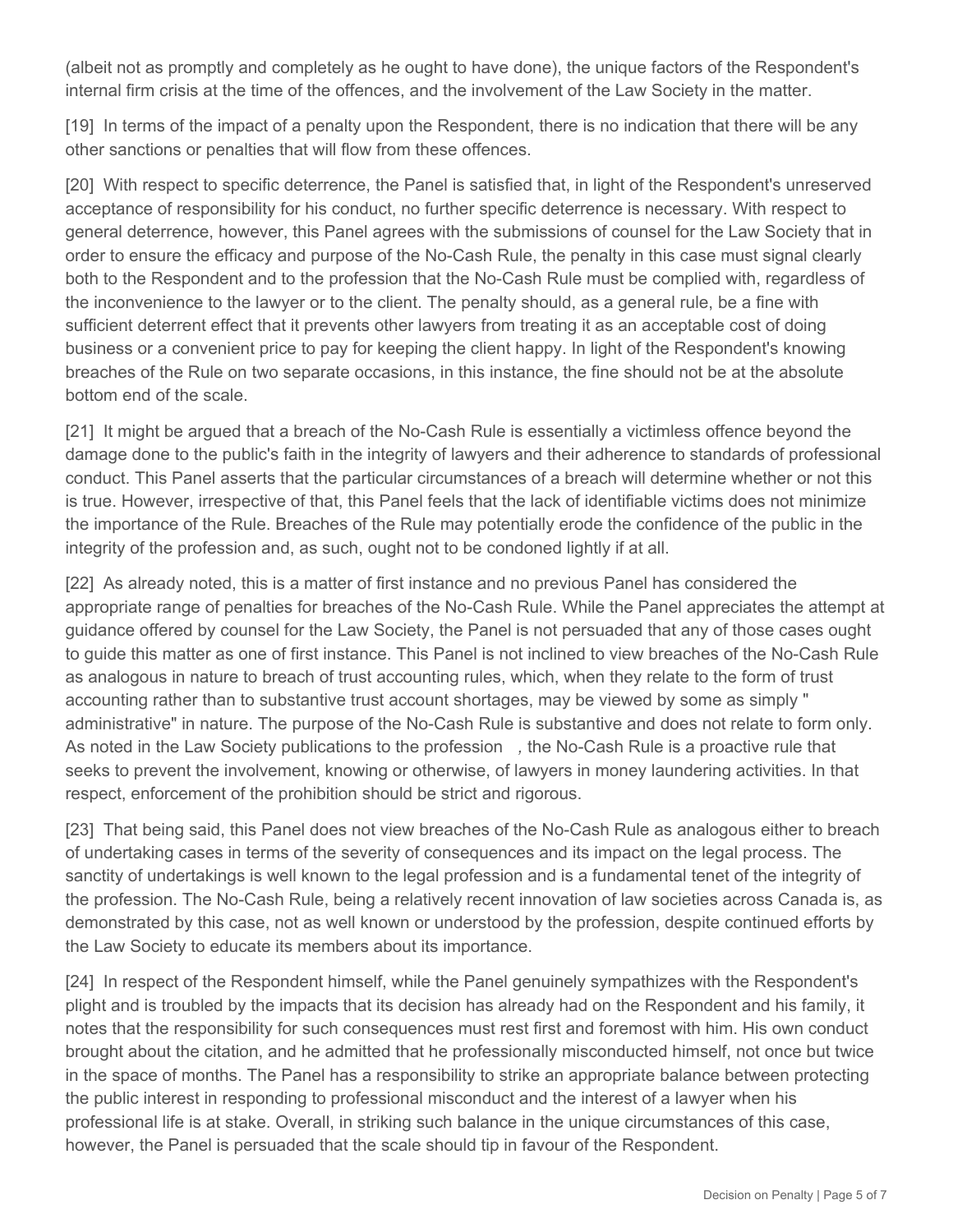(albeit not as promptly and completely as he ought to have done), the unique factors of the Respondent's internal firm crisis at the time of the offences, and the involvement of the Law Society in the matter.

[19] In terms of the impact of a penalty upon the Respondent, there is no indication that there will be any other sanctions or penalties that will flow from these offences.

[20] With respect to specific deterrence, the Panel is satisfied that, in light of the Respondent's unreserved acceptance of responsibility for his conduct, no further specific deterrence is necessary. With respect to general deterrence, however, this Panel agrees with the submissions of counsel for the Law Society that in order to ensure the efficacy and purpose of the No-Cash Rule, the penalty in this case must signal clearly both to the Respondent and to the profession that the No-Cash Rule must be complied with, regardless of the inconvenience to the lawyer or to the client. The penalty should, as a general rule, be a fine with sufficient deterrent effect that it prevents other lawyers from treating it as an acceptable cost of doing business or a convenient price to pay for keeping the client happy. In light of the Respondent's knowing breaches of the Rule on two separate occasions, in this instance, the fine should not be at the absolute bottom end of the scale.

[21] It might be argued that a breach of the No-Cash Rule is essentially a victimless offence beyond the damage done to the public's faith in the integrity of lawyers and their adherence to standards of professional conduct. This Panel asserts that the particular circumstances of a breach will determine whether or not this is true. However, irrespective of that, this Panel feels that the lack of identifiable victims does not minimize the importance of the Rule. Breaches of the Rule may potentially erode the confidence of the public in the integrity of the profession and, as such, ought not to be condoned lightly if at all.

[22] As already noted, this is a matter of first instance and no previous Panel has considered the appropriate range of penalties for breaches of the No-Cash Rule. While the Panel appreciates the attempt at guidance offered by counsel for the Law Society, the Panel is not persuaded that any of those cases ought to guide this matter as one of first instance. This Panel is not inclined to view breaches of the No-Cash Rule as analogous in nature to breach of trust accounting rules, which, when they relate to the form of trust accounting rather than to substantive trust account shortages, may be viewed by some as simply " administrative" in nature. The purpose of the No-Cash Rule is substantive and does not relate to form only. As noted in the Law Society publications to the profession *,* the No-Cash Rule is a proactive rule that seeks to prevent the involvement, knowing or otherwise, of lawyers in money laundering activities. In that respect, enforcement of the prohibition should be strict and rigorous.

[23] That being said, this Panel does not view breaches of the No-Cash Rule as analogous either to breach of undertaking cases in terms of the severity of consequences and its impact on the legal process. The sanctity of undertakings is well known to the legal profession and is a fundamental tenet of the integrity of the profession. The No-Cash Rule, being a relatively recent innovation of law societies across Canada is, as demonstrated by this case, not as well known or understood by the profession, despite continued efforts by the Law Society to educate its members about its importance.

[24] In respect of the Respondent himself, while the Panel genuinely sympathizes with the Respondent's plight and is troubled by the impacts that its decision has already had on the Respondent and his family, it notes that the responsibility for such consequences must rest first and foremost with him. His own conduct brought about the citation, and he admitted that he professionally misconducted himself, not once but twice in the space of months. The Panel has a responsibility to strike an appropriate balance between protecting the public interest in responding to professional misconduct and the interest of a lawyer when his professional life is at stake. Overall, in striking such balance in the unique circumstances of this case, however, the Panel is persuaded that the scale should tip in favour of the Respondent.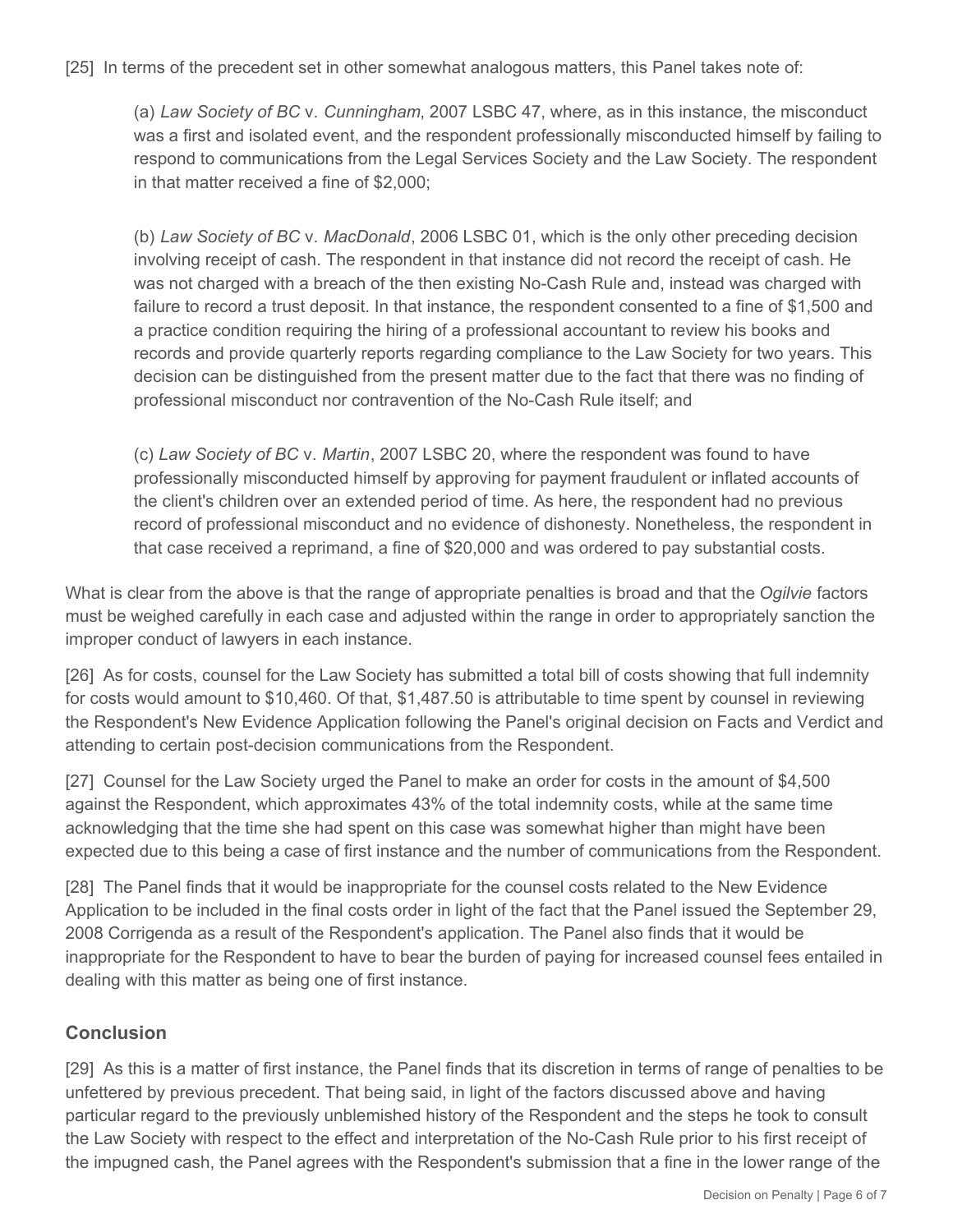[25] In terms of the precedent set in other somewhat analogous matters, this Panel takes note of:

(a) *Law Society of BC* v. *Cunningham*, 2007 LSBC 47, where, as in this instance, the misconduct was a first and isolated event, and the respondent professionally misconducted himself by failing to respond to communications from the Legal Services Society and the Law Society. The respondent in that matter received a fine of \$2,000;

(b) *Law Society of BC* v. *MacDonald*, 2006 LSBC 01, which is the only other preceding decision involving receipt of cash. The respondent in that instance did not record the receipt of cash. He was not charged with a breach of the then existing No-Cash Rule and, instead was charged with failure to record a trust deposit. In that instance, the respondent consented to a fine of \$1,500 and a practice condition requiring the hiring of a professional accountant to review his books and records and provide quarterly reports regarding compliance to the Law Society for two years. This decision can be distinguished from the present matter due to the fact that there was no finding of professional misconduct nor contravention of the No-Cash Rule itself; and

(c) *Law Society of BC* v. *Martin*, 2007 LSBC 20, where the respondent was found to have professionally misconducted himself by approving for payment fraudulent or inflated accounts of the client's children over an extended period of time. As here, the respondent had no previous record of professional misconduct and no evidence of dishonesty. Nonetheless, the respondent in that case received a reprimand, a fine of \$20,000 and was ordered to pay substantial costs.

What is clear from the above is that the range of appropriate penalties is broad and that the *Ogilvie* factors must be weighed carefully in each case and adjusted within the range in order to appropriately sanction the improper conduct of lawyers in each instance.

[26] As for costs, counsel for the Law Society has submitted a total bill of costs showing that full indemnity for costs would amount to \$10,460. Of that, \$1,487.50 is attributable to time spent by counsel in reviewing the Respondent's New Evidence Application following the Panel's original decision on Facts and Verdict and attending to certain post-decision communications from the Respondent.

[27] Counsel for the Law Society urged the Panel to make an order for costs in the amount of \$4,500 against the Respondent, which approximates 43% of the total indemnity costs, while at the same time acknowledging that the time she had spent on this case was somewhat higher than might have been expected due to this being a case of first instance and the number of communications from the Respondent.

[28] The Panel finds that it would be inappropriate for the counsel costs related to the New Evidence Application to be included in the final costs order in light of the fact that the Panel issued the September 29, 2008 Corrigenda as a result of the Respondent's application. The Panel also finds that it would be inappropriate for the Respondent to have to bear the burden of paying for increased counsel fees entailed in dealing with this matter as being one of first instance.

#### **Conclusion**

[29] As this is a matter of first instance, the Panel finds that its discretion in terms of range of penalties to be unfettered by previous precedent. That being said, in light of the factors discussed above and having particular regard to the previously unblemished history of the Respondent and the steps he took to consult the Law Society with respect to the effect and interpretation of the No-Cash Rule prior to his first receipt of the impugned cash, the Panel agrees with the Respondent's submission that a fine in the lower range of the